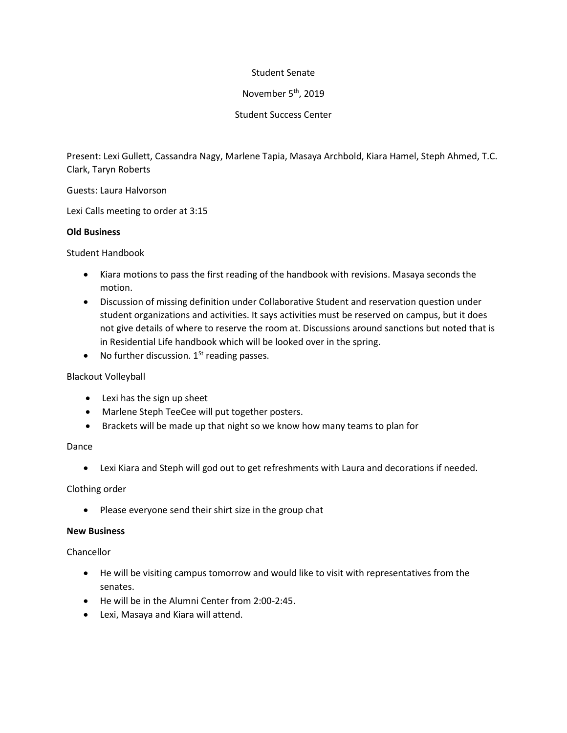# Student Senate

# November 5<sup>th</sup>, 2019

# Student Success Center

Present: Lexi Gullett, Cassandra Nagy, Marlene Tapia, Masaya Archbold, Kiara Hamel, Steph Ahmed, T.C. Clark, Taryn Roberts

Guests: Laura Halvorson

Lexi Calls meeting to order at 3:15

### **Old Business**

Student Handbook

- Kiara motions to pass the first reading of the handbook with revisions. Masaya seconds the motion.
- Discussion of missing definition under Collaborative Student and reservation question under student organizations and activities. It says activities must be reserved on campus, but it does not give details of where to reserve the room at. Discussions around sanctions but noted that is in Residential Life handbook which will be looked over in the spring.
- No further discussion.  $1<sup>St</sup>$  reading passes.

# Blackout Volleyball

- Lexi has the sign up sheet
- Marlene Steph TeeCee will put together posters.
- Brackets will be made up that night so we know how many teams to plan for

#### Dance

Lexi Kiara and Steph will god out to get refreshments with Laura and decorations if needed.

# Clothing order

• Please everyone send their shirt size in the group chat

### **New Business**

# Chancellor

- He will be visiting campus tomorrow and would like to visit with representatives from the senates.
- He will be in the Alumni Center from 2:00-2:45.
- Lexi, Masaya and Kiara will attend.